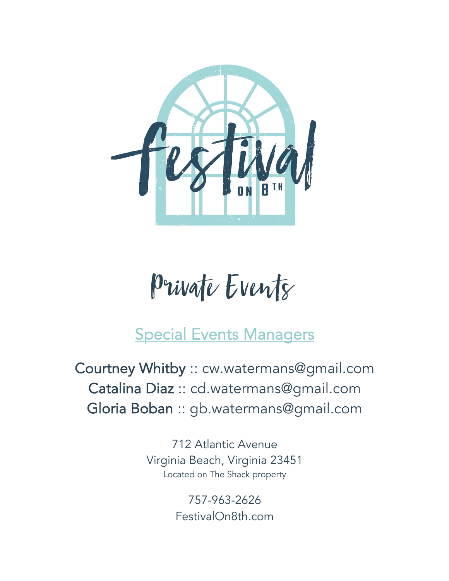

# Private Events

# Special Events Managers

Courtney Whitby :: cw.watermans@gmail.com Catalina Diaz :: cd.watermans@gmail.com Gloria Boban :: gb.watermans@gmail.com

> 712 Atlantic Avenue Virginia Beach, Virginia 23451 Located on The Shack property

> > 757-963-2626 FestivalOn8th.com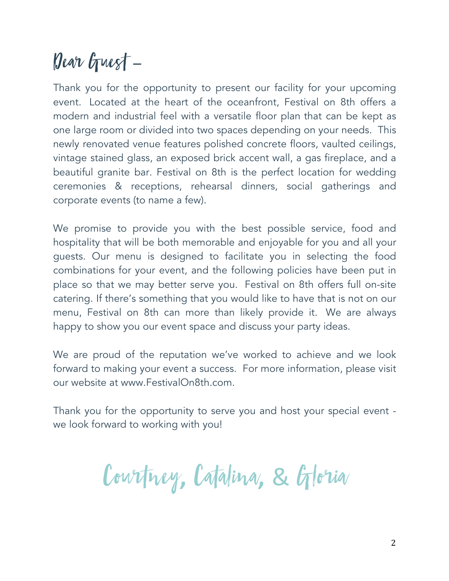# Dear Guest –

Thank you for the opportunity to present our facility for your upcoming event. Located at the heart of the oceanfront, Festival on 8th offers a modern and industrial feel with a versatile floor plan that can be kept as one large room or divided into two spaces depending on your needs. This newly renovated venue features polished concrete floors, vaulted ceilings, vintage stained glass, an exposed brick accent wall, a gas fireplace, and a beautiful granite bar. Festival on 8th is the perfect location for wedding ceremonies & receptions, rehearsal dinners, social gatherings and corporate events (to name a few).

We promise to provide you with the best possible service, food and hospitality that will be both memorable and enjoyable for you and all your guests. Our menu is designed to facilitate you in selecting the food combinations for your event, and the following policies have been put in place so that we may better serve you. Festival on 8th offers full on-site catering. If there's something that you would like to have that is not on our menu, Festival on 8th can more than likely provide it. We are always happy to show you our event space and discuss your party ideas.

We are proud of the reputation we've worked to achieve and we look forward to making your event a success. For more information, please visit our website at www.FestivalOn8th.com.

Thank you for the opportunity to serve you and host your special event we look forward to working with you!

Courtney**,** Catalina**,** & Gloria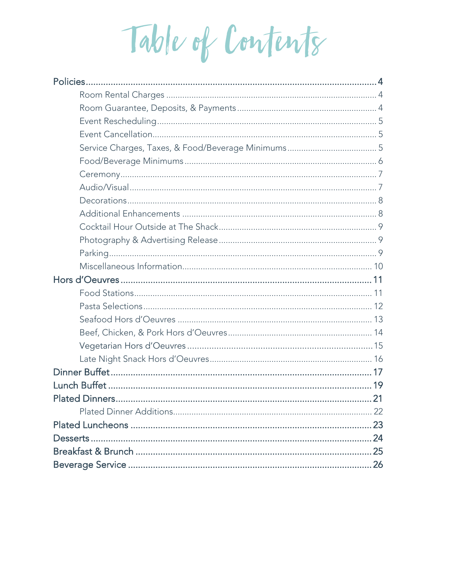Table of Contents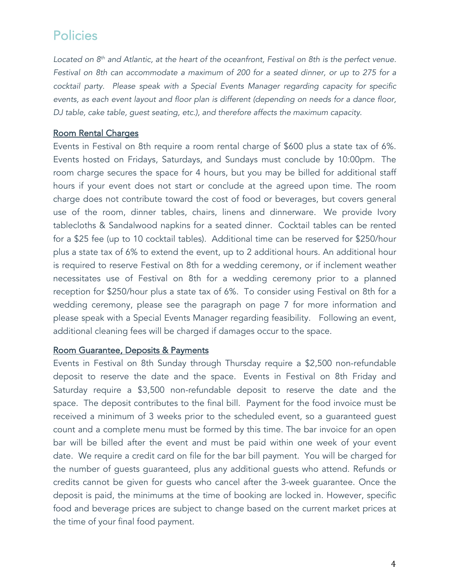*Located on 8th and Atlantic, at the heart of the oceanfront, Festival on 8th is the perfect venue. Festival on 8th can accommodate a maximum of 200 for a seated dinner, or up to 275 for a cocktail party. Please speak with a Special Events Manager regarding capacity for specific events, as each event layout and floor plan is different (depending on needs for a dance floor, DJ table, cake table, guest seating, etc.), and therefore affects the maximum capacity.*

#### Room Rental Charges

Events in Festival on 8th require a room rental charge of \$600 plus a state tax of 6%. Events hosted on Fridays, Saturdays, and Sundays must conclude by 10:00pm. The room charge secures the space for 4 hours, but you may be billed for additional staff hours if your event does not start or conclude at the agreed upon time. The room charge does not contribute toward the cost of food or beverages, but covers general use of the room, dinner tables, chairs, linens and dinnerware. We provide Ivory tablecloths & Sandalwood napkins for a seated dinner. Cocktail tables can be rented for a \$25 fee (up to 10 cocktail tables). Additional time can be reserved for \$250/hour plus a state tax of 6% to extend the event, up to 2 additional hours. An additional hour is required to reserve Festival on 8th for a wedding ceremony, or if inclement weather necessitates use of Festival on 8th for a wedding ceremony prior to a planned reception for \$250/hour plus a state tax of 6%. To consider using Festival on 8th for a wedding ceremony, please see the paragraph on page 7 for more information and please speak with a Special Events Manager regarding feasibility. Following an event, additional cleaning fees will be charged if damages occur to the space.

#### Room Guarantee, Deposits & Payments

Events in Festival on 8th Sunday through Thursday require a \$2,500 non-refundable deposit to reserve the date and the space. Events in Festival on 8th Friday and Saturday require a \$3,500 non-refundable deposit to reserve the date and the space. The deposit contributes to the final bill. Payment for the food invoice must be received a minimum of 3 weeks prior to the scheduled event, so a guaranteed guest count and a complete menu must be formed by this time. The bar invoice for an open bar will be billed after the event and must be paid within one week of your event date. We require a credit card on file for the bar bill payment. You will be charged for the number of guests guaranteed, plus any additional guests who attend. Refunds or credits cannot be given for guests who cancel after the 3-week guarantee. Once the deposit is paid, the minimums at the time of booking are locked in. However, specific food and beverage prices are subject to change based on the current market prices at the time of your final food payment.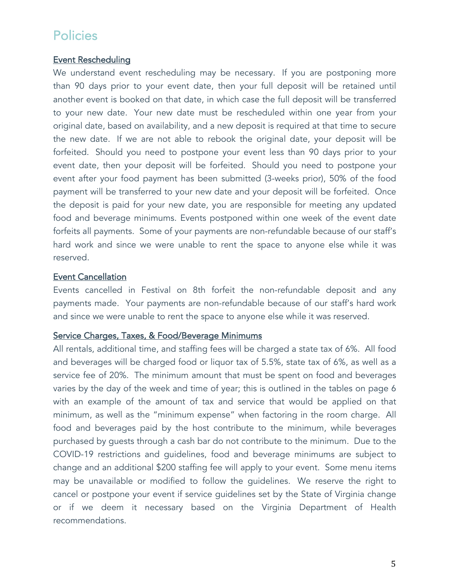## Event Rescheduling

We understand event rescheduling may be necessary. If you are postponing more than 90 days prior to your event date, then your full deposit will be retained until another event is booked on that date, in which case the full deposit will be transferred to your new date. Your new date must be rescheduled within one year from your original date, based on availability, and a new deposit is required at that time to secure the new date. If we are not able to rebook the original date, your deposit will be forfeited. Should you need to postpone your event less than 90 days prior to your event date, then your deposit will be forfeited. Should you need to postpone your event after your food payment has been submitted (3-weeks prior), 50% of the food payment will be transferred to your new date and your deposit will be forfeited. Once the deposit is paid for your new date, you are responsible for meeting any updated food and beverage minimums. Events postponed within one week of the event date forfeits all payments. Some of your payments are non-refundable because of our staff's hard work and since we were unable to rent the space to anyone else while it was reserved.

## Event Cancellation

Events cancelled in Festival on 8th forfeit the non-refundable deposit and any payments made. Your payments are non-refundable because of our staff's hard work and since we were unable to rent the space to anyone else while it was reserved.

#### Service Charges, Taxes, & Food/Beverage Minimums

All rentals, additional time, and staffing fees will be charged a state tax of 6%. All food and beverages will be charged food or liquor tax of 5.5%, state tax of 6%, as well as a service fee of 20%. The minimum amount that must be spent on food and beverages varies by the day of the week and time of year; this is outlined in the tables on page 6 with an example of the amount of tax and service that would be applied on that minimum, as well as the "minimum expense" when factoring in the room charge. All food and beverages paid by the host contribute to the minimum, while beverages purchased by guests through a cash bar do not contribute to the minimum. Due to the COVID-19 restrictions and guidelines, food and beverage minimums are subject to change and an additional \$200 staffing fee will apply to your event. Some menu items may be unavailable or modified to follow the guidelines. We reserve the right to cancel or postpone your event if service guidelines set by the State of Virginia change or if we deem it necessary based on the Virginia Department of Health recommendations.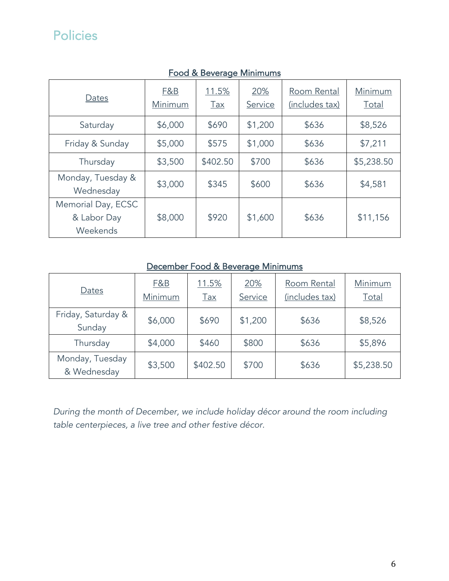| Dates                                         | F&B<br>Minimum | 11.5%<br><u>Tax</u> | 20%<br>Service | Room Rental<br>(includes tax) | Minimum<br>Total |
|-----------------------------------------------|----------------|---------------------|----------------|-------------------------------|------------------|
| Saturday                                      | \$6,000        | \$690               | \$1,200        | \$636                         | \$8,526          |
| Friday & Sunday                               | \$5,000        | \$575               | \$1,000        | \$636                         | \$7,211          |
| Thursday                                      | \$3,500        | \$402.50            | \$700          | \$636                         | \$5,238.50       |
| Monday, Tuesday &<br>Wednesday                | \$3,000        | \$345               | \$600          | \$636                         | \$4,581          |
| Memorial Day, ECSC<br>& Labor Day<br>Weekends | \$8,000        | \$920               | \$1,600        | \$636                         | \$11,156         |

## Food & Beverage Minimums

## December Food & Beverage Minimums

| Dates                          | <b>F&amp;B</b><br>Minimum | 11.5%<br>$\frac{Tax}{2}$ | 20%<br>Service | Room Rental<br>(includes tax) | Minimum<br>Total |
|--------------------------------|---------------------------|--------------------------|----------------|-------------------------------|------------------|
| Friday, Saturday &<br>Sunday   | \$6,000                   | \$690                    | \$1,200        | \$636                         | \$8,526          |
| Thursday                       | \$4,000                   | \$460                    | \$800          | \$636                         | \$5,896          |
| Monday, Tuesday<br>& Wednesday | \$3,500                   | \$402.50                 | \$700          | \$636                         | \$5,238.50       |

*During the month of December, we include holiday décor around the room including table centerpieces, a live tree and other festive décor.*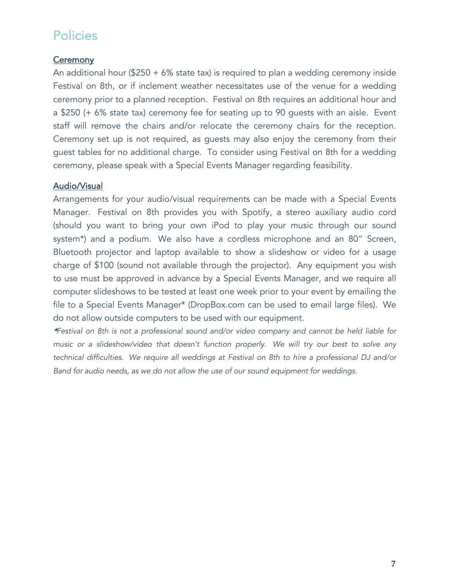## **Ceremony**

An additional hour (\$250 + 6% state tax) is required to plan a wedding ceremony inside Festival on 8th, or if inclement weather necessitates use of the venue for a wedding ceremony prior to a planned reception. Festival on 8th requires an additional hour and a \$250 (+ 6% state tax) ceremony fee for seating up to 90 guests with an aisle. Event staff will remove the chairs and/or relocate the ceremony chairs for the reception. Ceremony set up is not required, as guests may also enjoy the ceremony from their guest tables for no additional charge. To consider using Festival on 8th for a wedding ceremony, please speak with a Special Events Manager regarding feasibility.

## Audio/Visual

Arrangements for your audio/visual requirements can be made with a Special Events Manager. Festival on 8th provides you with Spotify, a stereo auxiliary audio cord (should you want to bring your own iPod to play your music through our sound system\*) and a podium. We also have a cordless microphone and an 80" Screen, Bluetooth projector and laptop available to show a slideshow or video for a usage charge of \$100 (sound not available through the projector). Any equipment you wish to use must be approved in advance by a Special Events Manager, and we require all computer slideshows to be tested at least one week prior to your event by emailing the file to a Special Events Manager\* (DropBox.com can be used to email large files). We do not allow outside computers to be used with our equipment.

\**Festival on 8th is not a professional sound and/or video company and cannot be held liable for music or a slideshow/video that doesn't function properly. We will try our best to solve any technical difficulties. We require all weddings at Festival on 8th to hire a professional DJ and/or Band for audio needs, as we do not allow the use of our sound equipment for weddings.*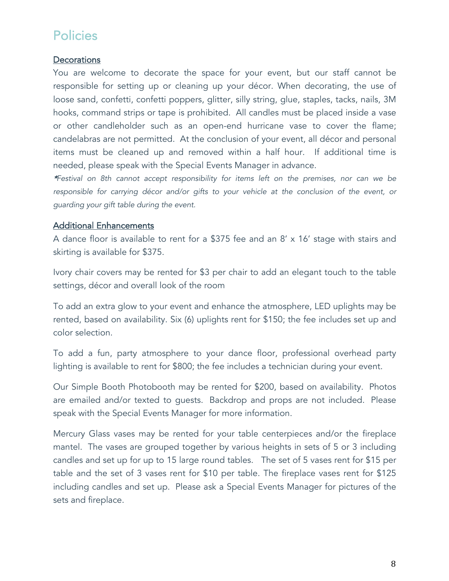#### **Decorations**

You are welcome to decorate the space for your event, but our staff cannot be responsible for setting up or cleaning up your décor. When decorating, the use of loose sand, confetti, confetti poppers, glitter, silly string, glue, staples, tacks, nails, 3M hooks, command strips or tape is prohibited. All candles must be placed inside a vase or other candleholder such as an open-end hurricane vase to cover the flame; candelabras are not permitted. At the conclusion of your event, all décor and personal items must be cleaned up and removed within a half hour. If additional time is needed, please speak with the Special Events Manager in advance.

\**Festival on 8th cannot accept responsibility for items left on the premises, nor can we be responsible for carrying décor and/or gifts to your vehicle at the conclusion of the event, or guarding your gift table during the event.*

#### Additional Enhancements

A dance floor is available to rent for a \$375 fee and an 8' x 16' stage with stairs and skirting is available for \$375.

Ivory chair covers may be rented for \$3 per chair to add an elegant touch to the table settings, décor and overall look of the room

To add an extra glow to your event and enhance the atmosphere, LED uplights may be rented, based on availability. Six (6) uplights rent for \$150; the fee includes set up and color selection.

To add a fun, party atmosphere to your dance floor, professional overhead party lighting is available to rent for \$800; the fee includes a technician during your event.

Our Simple Booth Photobooth may be rented for \$200, based on availability. Photos are emailed and/or texted to guests. Backdrop and props are not included. Please speak with the Special Events Manager for more information.

Mercury Glass vases may be rented for your table centerpieces and/or the fireplace mantel. The vases are grouped together by various heights in sets of 5 or 3 including candles and set up for up to 15 large round tables. The set of 5 vases rent for \$15 per table and the set of 3 vases rent for \$10 per table. The fireplace vases rent for \$125 including candles and set up. Please ask a Special Events Manager for pictures of the sets and fireplace.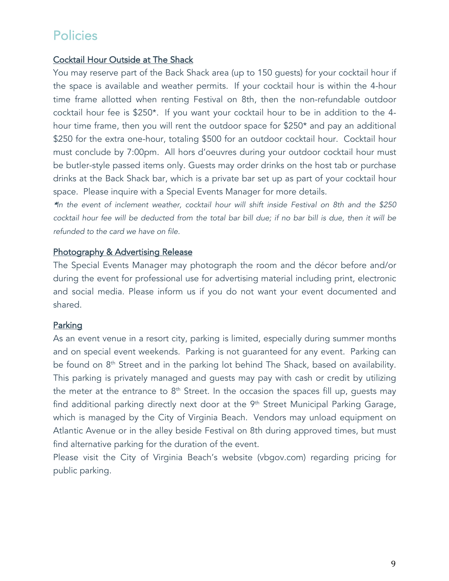## Cocktail Hour Outside at The Shack

You may reserve part of the Back Shack area (up to 150 guests) for your cocktail hour if the space is available and weather permits. If your cocktail hour is within the 4-hour time frame allotted when renting Festival on 8th, then the non-refundable outdoor cocktail hour fee is \$250\*. If you want your cocktail hour to be in addition to the 4 hour time frame, then you will rent the outdoor space for \$250\* and pay an additional \$250 for the extra one-hour, totaling \$500 for an outdoor cocktail hour. Cocktail hour must conclude by 7:00pm. All hors d'oeuvres during your outdoor cocktail hour must be butler-style passed items only. Guests may order drinks on the host tab or purchase drinks at the Back Shack bar, which is a private bar set up as part of your cocktail hour space. Please inquire with a Special Events Manager for more details.

\**In the event of inclement weather, cocktail hour will shift inside Festival on 8th and the \$250 cocktail hour fee will be deducted from the total bar bill due; if no bar bill is due, then it will be refunded to the card we have on file.*

#### Photography & Advertising Release

The Special Events Manager may photograph the room and the décor before and/or during the event for professional use for advertising material including print, electronic and social media. Please inform us if you do not want your event documented and shared.

## **Parking**

As an event venue in a resort city, parking is limited, especially during summer months and on special event weekends. Parking is not guaranteed for any event. Parking can be found on 8<sup>th</sup> Street and in the parking lot behind The Shack, based on availability. This parking is privately managed and guests may pay with cash or credit by utilizing the meter at the entrance to  $8<sup>th</sup>$  Street. In the occasion the spaces fill up, quests may find additional parking directly next door at the 9<sup>th</sup> Street Municipal Parking Garage, which is managed by the City of Virginia Beach. Vendors may unload equipment on Atlantic Avenue or in the alley beside Festival on 8th during approved times, but must find alternative parking for the duration of the event.

Please visit the City of Virginia Beach's website (vbgov.com) regarding pricing for public parking.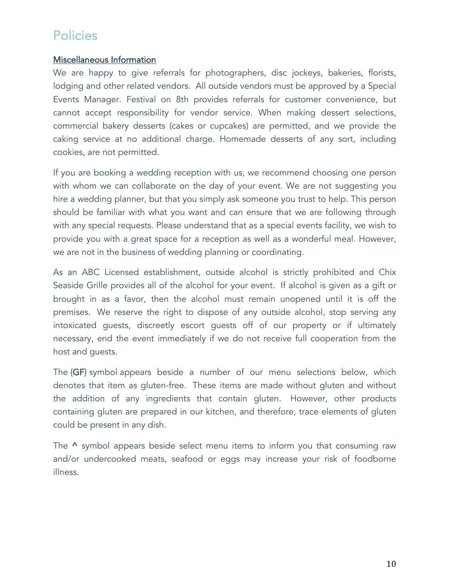## Miscellaneous Information

We are happy to give referrals for photographers, disc jockeys, bakeries, florists, lodging and other related vendors. All outside vendors must be approved by a Special Events Manager. Festival on 8th provides referrals for customer convenience, but cannot accept responsibility for vendor service. When making dessert selections, commercial bakery desserts (cakes or cupcakes) are permitted, and we provide the caking service at no additional charge. Homemade desserts of any sort, including cookies, are not permitted.

If you are booking a wedding reception with us, we recommend choosing one person with whom we can collaborate on the day of your event. We are not suggesting you hire a wedding planner, but that you simply ask someone you trust to help. This person should be familiar with what you want and can ensure that we are following through with any special requests. Please understand that as a special events facility, we wish to provide you with a great space for a reception as well as a wonderful meal. However, we are not in the business of wedding planning or coordinating.

As an ABC Licensed establishment, outside alcohol is strictly prohibited and Chix Seaside Grille provides all of the alcohol for your event. If alcohol is given as a gift or brought in as a favor, then the alcohol must remain unopened until it is off the premises. We reserve the right to dispose of any outside alcohol, stop serving any intoxicated guests, discreetly escort guests off of our property or if ultimately necessary, end the event immediately if we do not receive full cooperation from the host and guests.

The {GF} symbol appears beside a number of our menu selections below, which denotes that item as gluten-free. These items are made without gluten and without the addition of any ingredients that contain gluten. However, other products containing gluten are prepared in our kitchen, and therefore, trace elements of gluten could be present in any dish.

The  $\wedge$  symbol appears beside select menu items to inform you that consuming raw and/or undercooked meats, seafood or eggs may increase your risk of foodborne illness.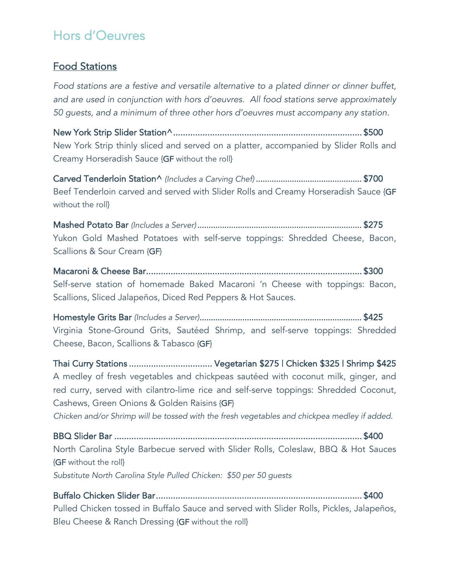# Food Stations

*Food stations are a festive and versatile alternative to a plated dinner or dinner buffet, and are used in conjunction with hors d'oeuvres. All food stations serve approximately 50 guests, and a minimum of three other hors d'oeuvres must accompany any station.*

New York Strip Slider Station^ ............................................................................. \$500 New York Strip thinly sliced and served on a platter, accompanied by Slider Rolls and Creamy Horseradish Sauce {GF without the roll}

Carved Tenderloin Station^ *(Includes a Carving Chef)* ............................................... \$700 Beef Tenderloin carved and served with Slider Rolls and Creamy Horseradish Sauce {GF without the roll}

Mashed Potato Bar *(Includes a Server)* ......................................................................... \$275 Yukon Gold Mashed Potatoes with self-serve toppings: Shredded Cheese, Bacon, Scallions & Sour Cream {GF}

Macaroni & Cheese Bar ........................................................................................ \$300 Self-serve station of homemade Baked Macaroni 'n Cheese with toppings: Bacon, Scallions, Sliced Jalapeños, Diced Red Peppers & Hot Sauces.

Homestyle Grits Bar *(Includes a Server)* ........................................................................ \$425 Virginia Stone-Ground Grits, Sautéed Shrimp, and self-serve toppings: Shredded Cheese, Bacon, Scallions & Tabasco {GF}

Thai Curry Stations .................................. Vegetarian \$275 | Chicken \$325 | Shrimp \$425 A medley of fresh vegetables and chickpeas sautéed with coconut milk, ginger, and red curry, served with cilantro-lime rice and self-serve toppings: Shredded Coconut, Cashews, Green Onions & Golden Raisins {GF}

*Chicken and/or Shrimp will be tossed with the fresh vegetables and chickpea medley if added.*

BBQ Slider Bar ..................................................................................................... \$400 North Carolina Style Barbecue served with Slider Rolls, Coleslaw, BBQ & Hot Sauces {GF without the roll} *Substitute North Carolina Style Pulled Chicken: \$50 per 50 guests*

Buffalo Chicken Slider Bar .................................................................................... \$400 Pulled Chicken tossed in Buffalo Sauce and served with Slider Rolls, Pickles, Jalapeños, Bleu Cheese & Ranch Dressing {GF without the roll}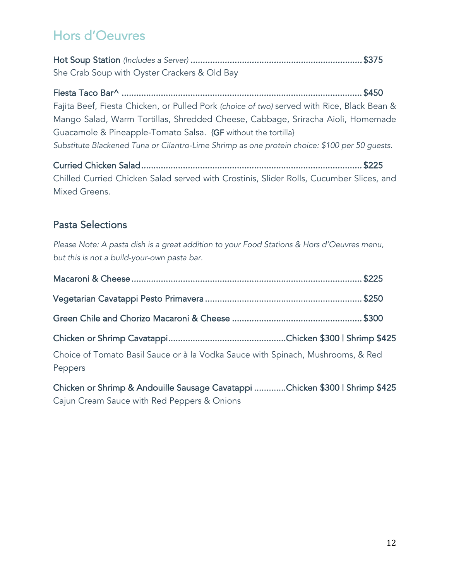Hot Soup Station *(Includes a Server)* ...................................................................... \$375 She Crab Soup with Oyster Crackers & Old Bay

Fiesta Taco Bar^ .................................................................................................. \$450 Fajita Beef, Fiesta Chicken, or Pulled Pork *(choice of two)* served with Rice, Black Bean & Mango Salad, Warm Tortillas, Shredded Cheese, Cabbage, Sriracha Aioli, Homemade Guacamole & Pineapple-Tomato Salsa. {GF without the tortilla} *Substitute Blackened Tuna or Cilantro-Lime Shrimp as one protein choice: \$100 per 50 guests.*

Curried Chicken Salad .......................................................................................... \$225 Chilled Curried Chicken Salad served with Crostinis, Slider Rolls, Cucumber Slices, and Mixed Greens.

# Pasta Selections

*Please Note: A pasta dish is a great addition to your Food Stations & Hors d'Oeuvres menu, but this is not a build-your-own pasta bar.* 

| Choice of Tomato Basil Sauce or à la Vodka Sauce with Spinach, Mushrooms, & Red<br>Peppers |  |
|--------------------------------------------------------------------------------------------|--|

Chicken or Shrimp & Andouille Sausage Cavatappi ............. Chicken \$300 | Shrimp \$425 Cajun Cream Sauce with Red Peppers & Onions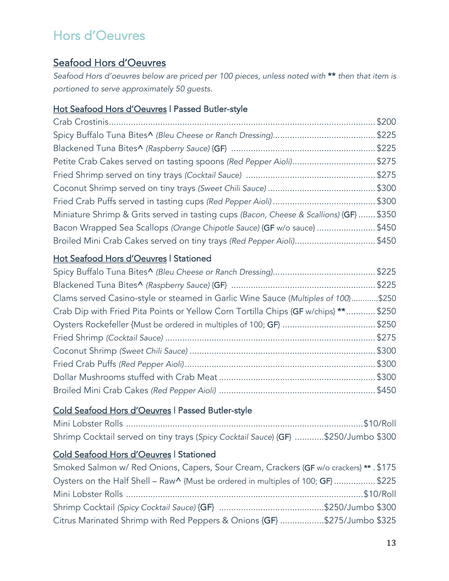# Seafood Hors d'Oeuvres

*Seafood Hors d'oeuvres below are priced per 100 pieces, unless noted with* \*\* *then that item is portioned to serve approximately 50 guests.*

## Hot Seafood Hors d'Oeuvres | Passed Butler-style

| Petite Crab Cakes served on tasting spoons (Red Pepper Aioli)\$275                      |  |
|-----------------------------------------------------------------------------------------|--|
|                                                                                         |  |
|                                                                                         |  |
|                                                                                         |  |
| Miniature Shrimp & Grits served in tasting cups (Bacon, Cheese & Scallions) {GF}  \$350 |  |
| Bacon Wrapped Sea Scallops (Orange Chipotle Sauce) {GF w/o sauce} \$450                 |  |
| Broiled Mini Crab Cakes served on tiny trays (Red Pepper Aioli)\$450                    |  |

## Hot Seafood Hors d'Oeuvres | Stationed

| Clams served Casino-style or steamed in Garlic Wine Sauce (Multiples of 100)\$250  |  |
|------------------------------------------------------------------------------------|--|
| Crab Dip with Fried Pita Points or Yellow Corn Tortilla Chips {GF w/chips} **\$250 |  |
|                                                                                    |  |
|                                                                                    |  |
|                                                                                    |  |
|                                                                                    |  |
|                                                                                    |  |
|                                                                                    |  |

## Cold Seafood Hors d'Oeuvres | Passed Butler-style

| Shrimp Cocktail served on tiny trays (Spicy Cocktail Sauce) {GF} \$250/Jumbo \$300 |  |
|------------------------------------------------------------------------------------|--|

# Cold Seafood Hors d'Oeuvres | Stationed

| Smoked Salmon w/ Red Onions, Capers, Sour Cream, Crackers {GF w/o crackers} ** . \$175 |  |
|----------------------------------------------------------------------------------------|--|
| Oysters on the Half Shell – Raw^ {Must be ordered in multiples of 100; GF}\$225        |  |
|                                                                                        |  |
|                                                                                        |  |
| Citrus Marinated Shrimp with Red Peppers & Onions {GF} \$275/Jumbo \$325               |  |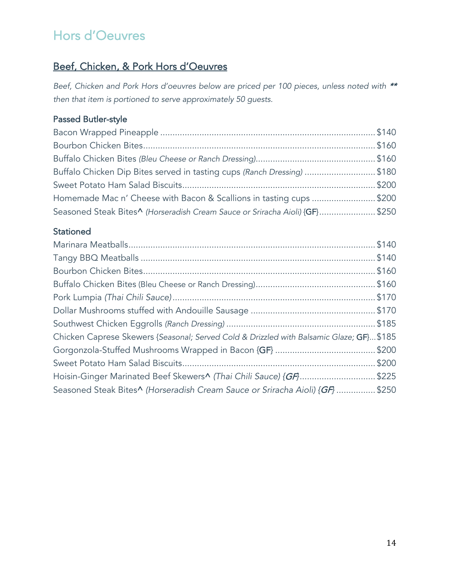# Beef, Chicken, & Pork Hors d'Oeuvres

Beef, Chicken and Pork Hors d'oeuvres below are priced per 100 pieces, unless noted with \*\* *then that item is portioned to serve approximately 50 guests.*

# Passed Butler-style

| Buffalo Chicken Dip Bites served in tasting cups (Ranch Dressing) \$180     |  |
|-----------------------------------------------------------------------------|--|
|                                                                             |  |
| Homemade Mac n' Cheese with Bacon & Scallions in tasting cups \$200         |  |
| Seasoned Steak Bites^ (Horseradish Cream Sauce or Sriracha Aioli) {GF}\$250 |  |

# **Stationed**

| Chicken Caprese Skewers {Seasonal; Served Cold & Drizzled with Balsamic Glaze; GF}\$185 |  |
|-----------------------------------------------------------------------------------------|--|
|                                                                                         |  |
|                                                                                         |  |
| Hoisin-Ginger Marinated Beef Skewers^ (Thai Chili Sauce) {GF\$225                       |  |
| Seasoned Steak Bites^ (Horseradish Cream Sauce or Sriracha Aioli) {GF} \$250            |  |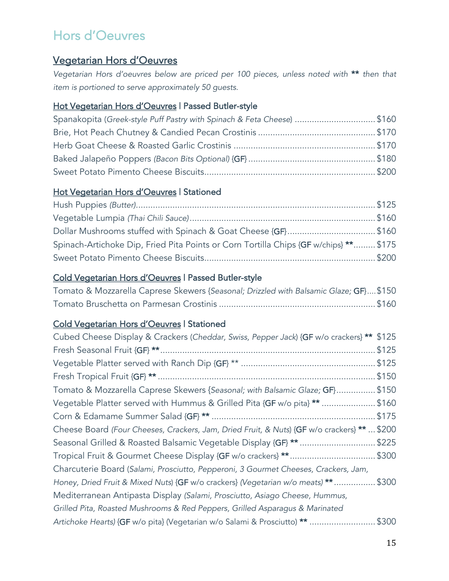# Vegetarian Hors d'Oeuvres

*Vegetarian Hors d'oeuvres below are priced per 100 pieces, unless noted with* \*\* *then that item is portioned to serve approximately 50 guests.*

## Hot Vegetarian Hors d'Oeuvres | Passed Butler-style

| Spanakopita (Greek-style Puff Pastry with Spinach & Feta Cheese) \$160 |  |
|------------------------------------------------------------------------|--|
|                                                                        |  |
|                                                                        |  |
|                                                                        |  |
|                                                                        |  |

## Hot Vegetarian Hors d'Oeuvres | Stationed

| Dollar Mushrooms stuffed with Spinach & Goat Cheese {GF}\$160                         |  |
|---------------------------------------------------------------------------------------|--|
| Spinach-Artichoke Dip, Fried Pita Points or Corn Tortilla Chips {GF w/chips} ** \$175 |  |
|                                                                                       |  |

## Cold Vegetarian Hors d'Oeuvres | Passed Butler-style

| Tomato & Mozzarella Caprese Skewers {Seasonal; Drizzled with Balsamic Glaze; GF}\$150 |  |
|---------------------------------------------------------------------------------------|--|
|                                                                                       |  |

## Cold Vegetarian Hors d'Oeuvres | Stationed

| Cubed Cheese Display & Crackers (Cheddar, Swiss, Pepper Jack) {GF w/o crackers} **<br>\$125 |
|---------------------------------------------------------------------------------------------|
| \$125                                                                                       |
| \$125                                                                                       |
| \$150                                                                                       |
| \$150<br>Tomato & Mozzarella Caprese Skewers {Seasonal; with Balsamic Glaze; GF}            |
| Vegetable Platter served with Hummus & Grilled Pita {GF w/o pita} ** \$160                  |
| \$175                                                                                       |
| Cheese Board (Four Cheeses, Crackers, Jam, Dried Fruit, & Nuts) {GF w/o crackers} **  \$200 |
| \$225                                                                                       |
| Tropical Fruit & Gourmet Cheese Display {GF w/o crackers} **\$300                           |
| Charcuterie Board (Salami, Prosciutto, Pepperoni, 3 Gourmet Cheeses, Crackers, Jam,         |
| Honey, Dried Fruit & Mixed Nuts) {GF w/o crackers} (Vegetarian w/o meats) ** \$300          |
| Mediterranean Antipasta Display (Salami, Prosciutto, Asiago Cheese, Hummus,                 |
| Grilled Pita, Roasted Mushrooms & Red Peppers, Grilled Asparagus & Marinated                |
| \$300<br>Artichoke Hearts) {GF w/o pita} (Vegetarian w/o Salami & Prosciutto) **            |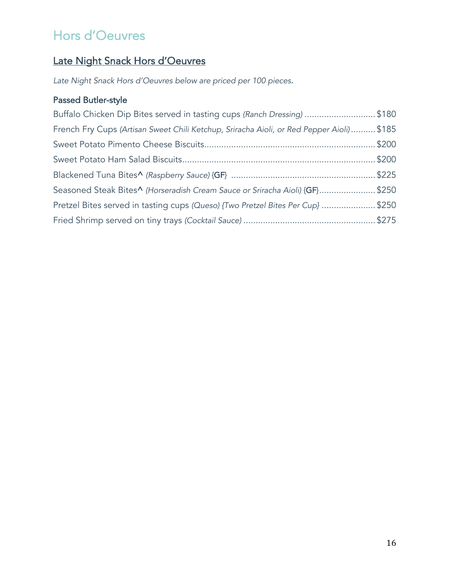# Late Night Snack Hors d'Oeuvres

*Late Night Snack Hors d'Oeuvres below are priced per 100 pieces*.

# Passed Butler-style

| Buffalo Chicken Dip Bites served in tasting cups (Ranch Dressing) \$180                  |  |
|------------------------------------------------------------------------------------------|--|
| French Fry Cups (Artisan Sweet Chili Ketchup, Sriracha Aioli, or Red Pepper Aioli) \$185 |  |
|                                                                                          |  |
|                                                                                          |  |
|                                                                                          |  |
| Seasoned Steak Bites^ (Horseradish Cream Sauce or Sriracha Aioli) {GF}\$250              |  |
| Pretzel Bites served in tasting cups (Queso) {Two Pretzel Bites Per Cup} \$250           |  |
|                                                                                          |  |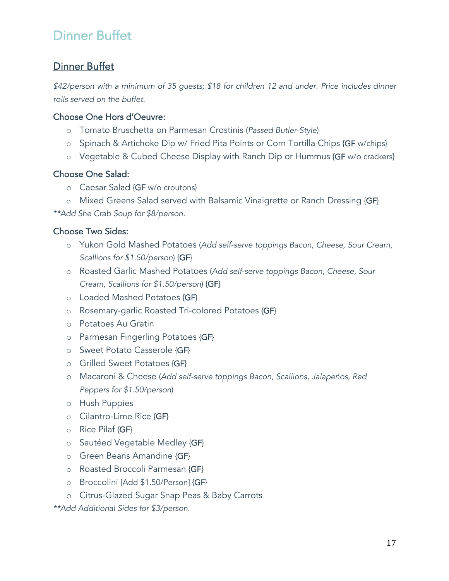# Dinner Buffet

# Dinner Buffet

*\$42/person with a minimum of 35 guests; \$18 for children 12 and under. Price includes dinner rolls served on the buffet.*

## Choose One Hors d'Oeuvre:

- o Tomato Bruschetta on Parmesan Crostinis (*Passed Butler-Style*)
- o Spinach & Artichoke Dip w/ Fried Pita Points or Corn Tortilla Chips {GF w/chips}
- o Vegetable & Cubed Cheese Display with Ranch Dip or Hummus {GF w/o crackers}

## Choose One Salad:

o Caesar Salad {GF w/o croutons}

o Mixed Greens Salad served with Balsamic Vinaigrette or Ranch Dressing {GF} *\*\*Add She Crab Soup for \$8/person.*

## Choose Two Sides:

- o Yukon Gold Mashed Potatoes (*Add self-serve toppings Bacon, Cheese, Sour Cream, Scallions for \$1.50/person*) {GF}
- o Roasted Garlic Mashed Potatoes (*Add self-serve toppings Bacon, Cheese, Sour Cream, Scallions for \$1.50/person*) {GF}
- o Loaded Mashed Potatoes {GF}
- o Rosemary-garlic Roasted Tri-colored Potatoes {GF}
- o Potatoes Au Gratin
- o Parmesan Fingerling Potatoes {GF}
- o Sweet Potato Casserole {GF}
- o Grilled Sweet Potatoes {GF}
- o Macaroni & Cheese (*Add self-serve toppings Bacon, Scallions, Jalapeños, Red Peppers for \$1.50/person*)
- o Hush Puppies
- o Cilantro-Lime Rice {GF}
- o Rice Pilaf {GF}
- o Sautéed Vegetable Medley {GF}
- o Green Beans Amandine {GF}
- o Roasted Broccoli Parmesan {GF}
- o Broccolini [Add \$1.50/Person] {GF}
- o Citrus-Glazed Sugar Snap Peas & Baby Carrots

*\*\*Add Additional Sides for \$3/person.*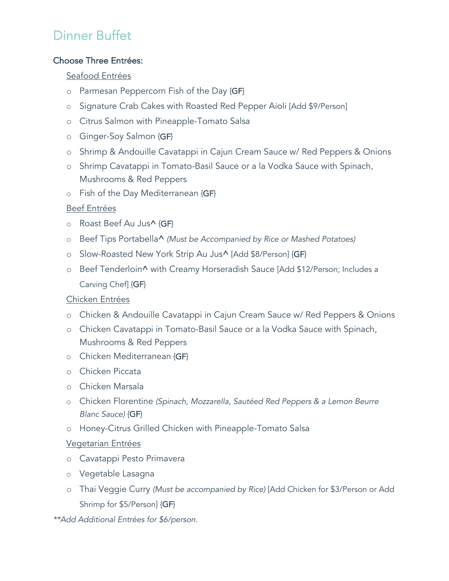# Dinner Buffet

## Choose Three Entrées:

## Seafood Entrées

- o Parmesan Peppercorn Fish of the Day {GF}
- o Signature Crab Cakes with Roasted Red Pepper Aioli [Add \$9/Person]
- o Citrus Salmon with Pineapple-Tomato Salsa
- o Ginger-Soy Salmon {GF}
- o Shrimp & Andouille Cavatappi in Cajun Cream Sauce w/ Red Peppers & Onions
- o Shrimp Cavatappi in Tomato-Basil Sauce or a la Vodka Sauce with Spinach, Mushrooms & Red Peppers
- o Fish of the Day Mediterranean {GF}

## Beef Entrées

- o Roast Beef Au Jus^ {GF}
- o Beef Tips Portabella^ *(Must be Accompanied by Rice or Mashed Potatoes)*
- o Slow-Roasted New York Strip Au Jus^ [Add \$8/Person] {GF}
- o Beef Tenderloin^ with Creamy Horseradish Sauce [Add \$12/Person; Includes a Carving Chef] {GF}

## Chicken Entrées

- o Chicken & Andouille Cavatappi in Cajun Cream Sauce w/ Red Peppers & Onions
- o Chicken Cavatappi in Tomato-Basil Sauce or a la Vodka Sauce with Spinach, Mushrooms & Red Peppers
- o Chicken Mediterranean {GF}
- o Chicken Piccata
- o Chicken Marsala
- o Chicken Florentine *(Spinach, Mozzarella, Sautéed Red Peppers & a Lemon Beurre Blanc Sauce)* {GF}
- o Honey-Citrus Grilled Chicken with Pineapple-Tomato Salsa

## Vegetarian Entrées

- o Cavatappi Pesto Primavera
- o Vegetable Lasagna
- o Thai Veggie Curry *(Must be accompanied by Rice)* [Add Chicken for \$3/Person or Add Shrimp for \$5/Person] {GF}

*\*\*Add Additional Entrées for \$6/person.*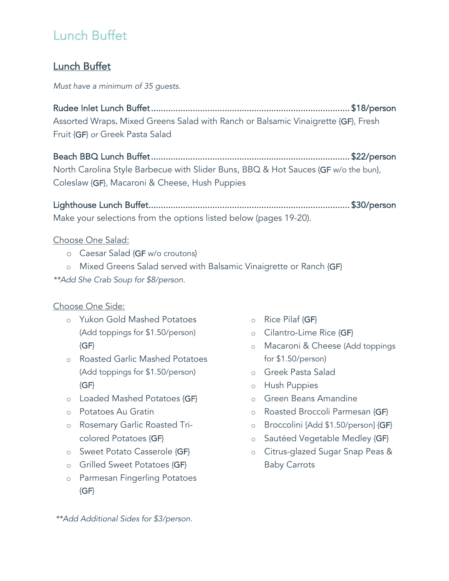# Lunch Buffet

# Lunch Buffet

*Must have a minimum of 35 guests.*

Rudee Inlet Lunch Buffet ................................................................................. \$18/person Assorted Wraps, Mixed Greens Salad with Ranch or Balsamic Vinaigrette {GF}, Fresh Fruit {GF} *or* Greek Pasta Salad

Beach BBQ Lunch Buffet ................................................................................. \$22/person North Carolina Style Barbecue with Slider Buns, BBQ & Hot Sauces {GF w/o the bun}, Coleslaw {GF}, Macaroni & Cheese, Hush Puppies

Lighthouse Lunch Buffet .................................................................................. \$30/person Make your selections from the options listed below (pages 19-20).

## Choose One Salad:

o Caesar Salad {GF w/o croutons}

o Mixed Greens Salad served with Balsamic Vinaigrette or Ranch {GF} *\*\*Add She Crab Soup for \$8/person.*

## Choose One Side:

- o Yukon Gold Mashed Potatoes (Add toppings for \$1.50/person)  ${GF}$
- o Roasted Garlic Mashed Potatoes (Add toppings for \$1.50/person)  ${GF}$
- o Loaded Mashed Potatoes {GF}
- o Potatoes Au Gratin
- o Rosemary Garlic Roasted Tricolored Potatoes {GF}
- o Sweet Potato Casserole {GF}
- o Grilled Sweet Potatoes {GF}
- o Parmesan Fingerling Potatoes  ${GF}$
- o Rice Pilaf {GF}
- o Cilantro-Lime Rice {GF}
- o Macaroni & Cheese (Add toppings for \$1.50/person)
- o Greek Pasta Salad
- o Hush Puppies
- o Green Beans Amandine
- o Roasted Broccoli Parmesan {GF}
- o Broccolini [Add \$1.50/person] {GF}
- o Sautéed Vegetable Medley {GF}
- o Citrus-glazed Sugar Snap Peas & Baby Carrots

*\*\*Add Additional Sides for \$3/person.*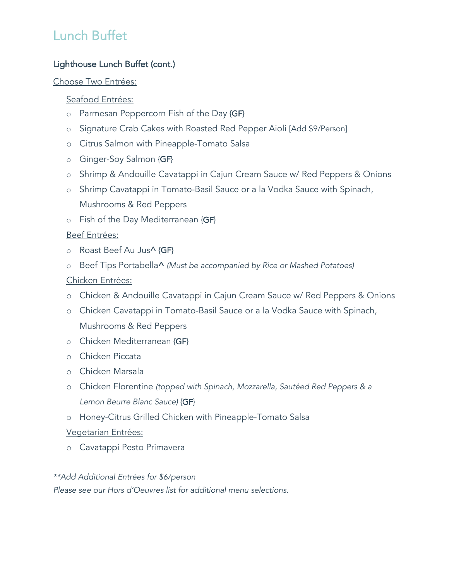# Lunch Buffet

## Lighthouse Lunch Buffet (cont.)

#### Choose Two Entrées:

#### Seafood Entrées:

- o Parmesan Peppercorn Fish of the Day {GF}
- o Signature Crab Cakes with Roasted Red Pepper Aioli [Add \$9/Person]
- o Citrus Salmon with Pineapple-Tomato Salsa
- o Ginger-Soy Salmon {GF}
- o Shrimp & Andouille Cavatappi in Cajun Cream Sauce w/ Red Peppers & Onions
- o Shrimp Cavatappi in Tomato-Basil Sauce or a la Vodka Sauce with Spinach, Mushrooms & Red Peppers
- o Fish of the Day Mediterranean {GF}

## Beef Entrées:

- o Roast Beef Au Jus^ {GF}
- o Beef Tips Portabella^ *(Must be accompanied by Rice or Mashed Potatoes)*

## Chicken Entrées:

- o Chicken & Andouille Cavatappi in Cajun Cream Sauce w/ Red Peppers & Onions
- o Chicken Cavatappi in Tomato-Basil Sauce or a la Vodka Sauce with Spinach, Mushrooms & Red Peppers
- o Chicken Mediterranean {GF}
- o Chicken Piccata
- o Chicken Marsala
- o Chicken Florentine *(topped with Spinach, Mozzarella, Sautéed Red Peppers & a Lemon Beurre Blanc Sauce)* {GF}
- o Honey-Citrus Grilled Chicken with Pineapple-Tomato Salsa

## Vegetarian Entrées:

o Cavatappi Pesto Primavera

#### *\*\*Add Additional Entrées for \$6/person*

*Please see our Hors d'Oeuvres list for additional menu selections.*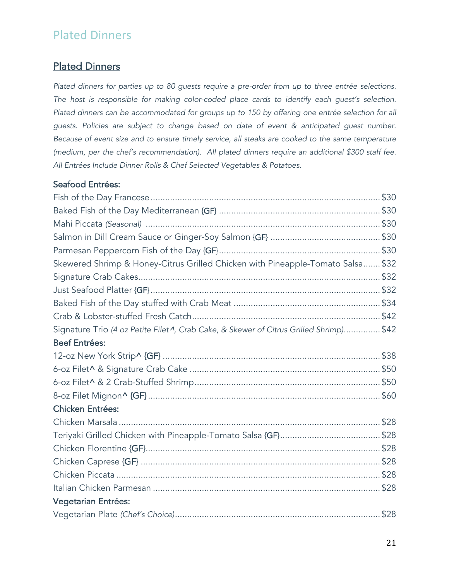# Plated Dinners

# Plated Dinners

*Plated dinners for parties up to 80 guests require a pre-order from up to three entrée selections. The host is responsible for making color-coded place cards to identify each guest's selection*. *Plated dinners can be accommodated for groups up to 150 by offering one entrée selection for all guests. Policies are subject to change based on date of event & anticipated guest number. Because of event size and to ensure timely service, all steaks are cooked to the same temperature (medium, per the chef's recommendation). All plated dinners require an additional \$300 staff fee. All Entrées Include Dinner Rolls & Chef Selected Vegetables & Potatoes.*

## Seafood Entrées:

| Skewered Shrimp & Honey-Citrus Grilled Chicken with Pineapple-Tomato Salsa \$32                    |  |
|----------------------------------------------------------------------------------------------------|--|
|                                                                                                    |  |
|                                                                                                    |  |
|                                                                                                    |  |
|                                                                                                    |  |
| Signature Trio (4 oz Petite Filet <sup>1</sup> , Crab Cake, & Skewer of Citrus Grilled Shrimp)\$42 |  |
| <b>Beef Entrées:</b>                                                                               |  |
|                                                                                                    |  |
|                                                                                                    |  |
|                                                                                                    |  |
|                                                                                                    |  |
| <b>Chicken Entrées:</b>                                                                            |  |
|                                                                                                    |  |
|                                                                                                    |  |
|                                                                                                    |  |
|                                                                                                    |  |
|                                                                                                    |  |
|                                                                                                    |  |
| <b>Vegetarian Entrées:</b>                                                                         |  |
|                                                                                                    |  |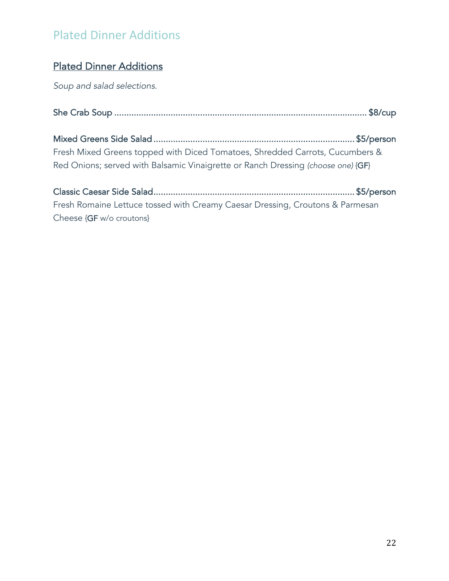# Plated Dinner Additions

# Plated Dinner Additions

*Soup and salad selections.*

Mixed Greens Side Salad .................................................................................. \$5/person Fresh Mixed Greens topped with Diced Tomatoes, Shredded Carrots, Cucumbers & Red Onions; served with Balsamic Vinaigrette or Ranch Dressing *(choose one)* {GF}

Classic Caesar Side Salad .................................................................................. \$5/person Fresh Romaine Lettuce tossed with Creamy Caesar Dressing, Croutons & Parmesan Cheese {GF w/o croutons}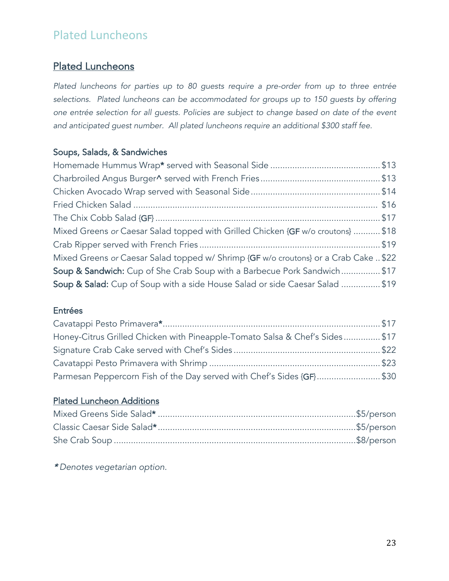# Plated Luncheons

# Plated Luncheons

*Plated luncheons for parties up to 80 guests require a pre-order from up to three entrée selections. Plated luncheons can be accommodated for groups up to 150 guests by offering one entrée selection for all guests. Policies are subject to change based on date of the event and anticipated guest number. All plated luncheons require an additional \$300 staff fee.*

## Soups, Salads, & Sandwiches

| Mixed Greens or Caesar Salad topped with Grilled Chicken {GF w/o croutons}  \$18     |  |
|--------------------------------------------------------------------------------------|--|
|                                                                                      |  |
| Mixed Greens or Caesar Salad topped w/ Shrimp {GF w/o croutons} or a Crab Cake  \$22 |  |
| Soup & Sandwich: Cup of She Crab Soup with a Barbecue Pork Sandwich \$17             |  |
| Soup & Salad: Cup of Soup with a side House Salad or side Caesar Salad \$19          |  |

#### Entrées

| Honey-Citrus Grilled Chicken with Pineapple-Tomato Salsa & Chef's Sides\$17 |  |
|-----------------------------------------------------------------------------|--|
|                                                                             |  |
|                                                                             |  |
| Parmesan Peppercorn Fish of the Day served with Chef's Sides {GF}\$30       |  |

# Plated Luncheon Additions

\* *Denotes vegetarian option.*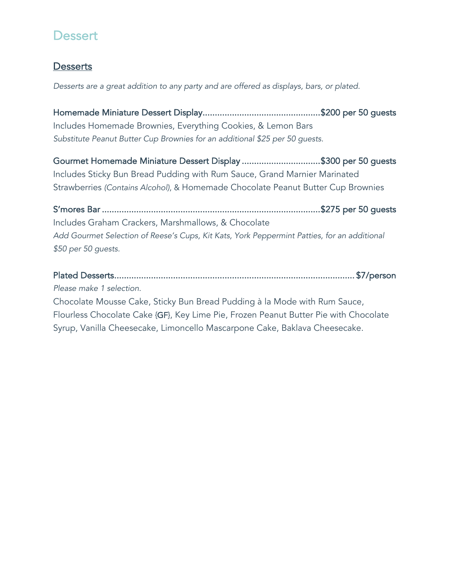# **Dessert**

# **Desserts**

*Desserts are a great addition to any party and are offered as displays, bars, or plated.*

Homemade Miniature Dessert Display ................................................ \$200 per 50 guests Includes Homemade Brownies, Everything Cookies, & Lemon Bars *Substitute Peanut Butter Cup Brownies for an additional \$25 per 50 guests.*

Gourmet Homemade Miniature Dessert Display ................................ \$300 per 50 guests Includes Sticky Bun Bread Pudding with Rum Sauce, Grand Marnier Marinated Strawberries *(Contains Alcohol)*, & Homemade Chocolate Peanut Butter Cup Brownies

S'mores Bar ......................................................................................... \$275 per 50 guests Includes Graham Crackers, Marshmallows, & Chocolate *Add Gourmet Selection of Reese's Cups, Kit Kats, York Peppermint Patties, for an additional \$50 per 50 guests.*

Plated Desserts .................................................................................................. \$7/person *Please make 1 selection.*

Chocolate Mousse Cake, Sticky Bun Bread Pudding à la Mode with Rum Sauce, Flourless Chocolate Cake {GF}, Key Lime Pie, Frozen Peanut Butter Pie with Chocolate Syrup, Vanilla Cheesecake, Limoncello Mascarpone Cake, Baklava Cheesecake.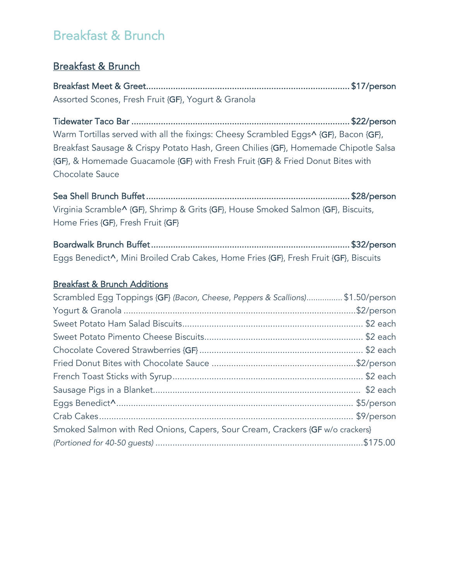# Breakfast & Brunch

# Breakfast & Brunch

Breakfast Meet & Greet ................................................................................... \$17/person Assorted Scones, Fresh Fruit {GF}, Yogurt & Granola

Tidewater Taco Bar ......................................................................................... \$22/person Warm Tortillas served with all the fixings: Cheesy Scrambled Eggs^ {GF}, Bacon {GF}, Breakfast Sausage & Crispy Potato Hash, Green Chilies {GF}, Homemade Chipotle Salsa {GF}, & Homemade Guacamole {GF} with Fresh Fruit {GF} & Fried Donut Bites with Chocolate Sauce

Sea Shell Brunch Buffet ................................................................................... \$28/person Virginia Scramble^ {GF}, Shrimp & Grits {GF}, House Smoked Salmon {GF}, Biscuits, Home Fries {GF}, Fresh Fruit {GF}

Boardwalk Brunch Buffet ................................................................................. \$32/person Eggs Benedict^, Mini Broiled Crab Cakes, Home Fries {GF}, Fresh Fruit {GF}, Biscuits

## Breakfast & Brunch Additions

| Scrambled Egg Toppings {GF} (Bacon, Cheese, Peppers & Scallions)\$1.50/person |  |
|-------------------------------------------------------------------------------|--|
|                                                                               |  |
|                                                                               |  |
|                                                                               |  |
|                                                                               |  |
|                                                                               |  |
|                                                                               |  |
|                                                                               |  |
|                                                                               |  |
|                                                                               |  |
| Smoked Salmon with Red Onions, Capers, Sour Cream, Crackers {GF w/o crackers} |  |
|                                                                               |  |